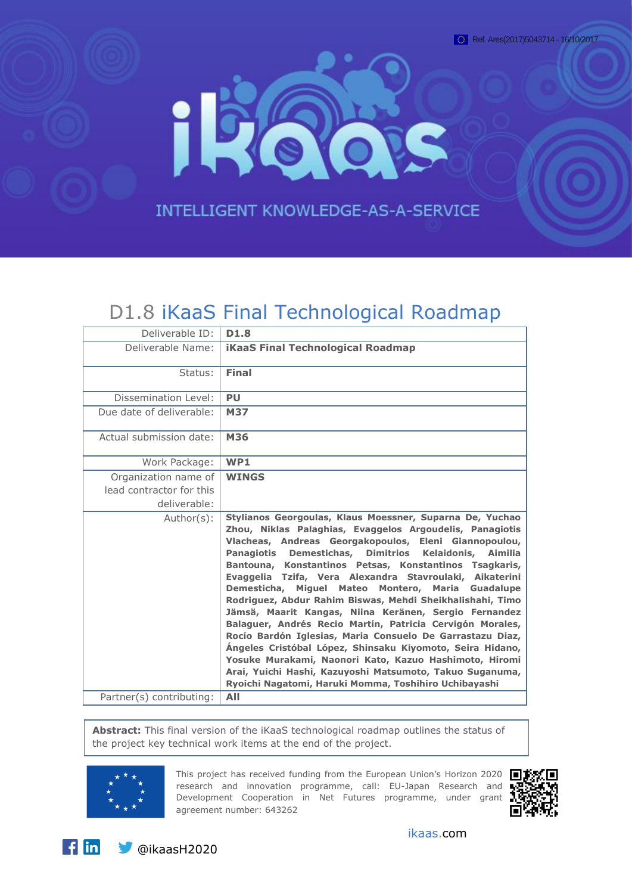

# D1.8 iKaaS Final Technological Roadmap

| Deliverable ID:                                                  | D <sub>1.8</sub>                                                                                                                                                                                                                                                                                                                                                                                                                                                                                                                                                                                                                                                                                                                                                                                                                                                                                                          |
|------------------------------------------------------------------|---------------------------------------------------------------------------------------------------------------------------------------------------------------------------------------------------------------------------------------------------------------------------------------------------------------------------------------------------------------------------------------------------------------------------------------------------------------------------------------------------------------------------------------------------------------------------------------------------------------------------------------------------------------------------------------------------------------------------------------------------------------------------------------------------------------------------------------------------------------------------------------------------------------------------|
| Deliverable Name:                                                | <b>iKaaS Final Technological Roadmap</b>                                                                                                                                                                                                                                                                                                                                                                                                                                                                                                                                                                                                                                                                                                                                                                                                                                                                                  |
| Status:                                                          | <b>Final</b>                                                                                                                                                                                                                                                                                                                                                                                                                                                                                                                                                                                                                                                                                                                                                                                                                                                                                                              |
| Dissemination Level:                                             | <b>PU</b>                                                                                                                                                                                                                                                                                                                                                                                                                                                                                                                                                                                                                                                                                                                                                                                                                                                                                                                 |
| Due date of deliverable:                                         | <b>M37</b>                                                                                                                                                                                                                                                                                                                                                                                                                                                                                                                                                                                                                                                                                                                                                                                                                                                                                                                |
| Actual submission date:                                          | <b>M36</b>                                                                                                                                                                                                                                                                                                                                                                                                                                                                                                                                                                                                                                                                                                                                                                                                                                                                                                                |
| Work Package:                                                    | WP1                                                                                                                                                                                                                                                                                                                                                                                                                                                                                                                                                                                                                                                                                                                                                                                                                                                                                                                       |
| Organization name of<br>lead contractor for this<br>deliverable: | <b>WINGS</b>                                                                                                                                                                                                                                                                                                                                                                                                                                                                                                                                                                                                                                                                                                                                                                                                                                                                                                              |
| Author(s):                                                       | Stylianos Georgoulas, Klaus Moessner, Suparna De, Yuchao<br>Zhou, Niklas Palaghias, Evaggelos Argoudelis, Panagiotis<br>Vlacheas, Andreas Georgakopoulos, Eleni Giannopoulou,<br><b>Dimitrios</b><br>Panagiotis Demestichas,<br>Kelaidonis, Aimilia<br>Bantouna, Konstantinos Petsas, Konstantinos Tsagkaris,<br>Evaggelia Tzifa, Vera Alexandra Stavroulaki, Aikaterini<br>Demesticha, Miquel Mateo Montero, Maria Guadalupe<br>Rodriguez, Abdur Rahim Biswas, Mehdi Sheikhalishahi, Timo<br>Jämsä, Maarit Kangas, Niina Keränen, Sergio Fernandez<br>Balaguer, Andrés Recio Martín, Patricia Cervigón Morales,<br>Rocío Bardón Iglesias, Maria Consuelo De Garrastazu Diaz,<br>Ángeles Cristóbal López, Shinsaku Kiyomoto, Seira Hidano,<br>Yosuke Murakami, Naonori Kato, Kazuo Hashimoto, Hiromi<br>Arai, Yuichi Hashi, Kazuyoshi Matsumoto, Takuo Suganuma,<br>Ryoichi Nagatomi, Haruki Momma, Toshihiro Uchibayashi |
| Partner(s) contributing:                                         | AII                                                                                                                                                                                                                                                                                                                                                                                                                                                                                                                                                                                                                                                                                                                                                                                                                                                                                                                       |

**Abstract:** This final version of the iKaaS technological roadmap outlines the status of the project key technical work items at the end of the project.



This project has received funding from the European Union's Horizon 2020  $\blacksquare$ research and innovation programme, call: EU-Japan Research and Development Cooperation in Net Futures programme, under grant agreement number: 643262

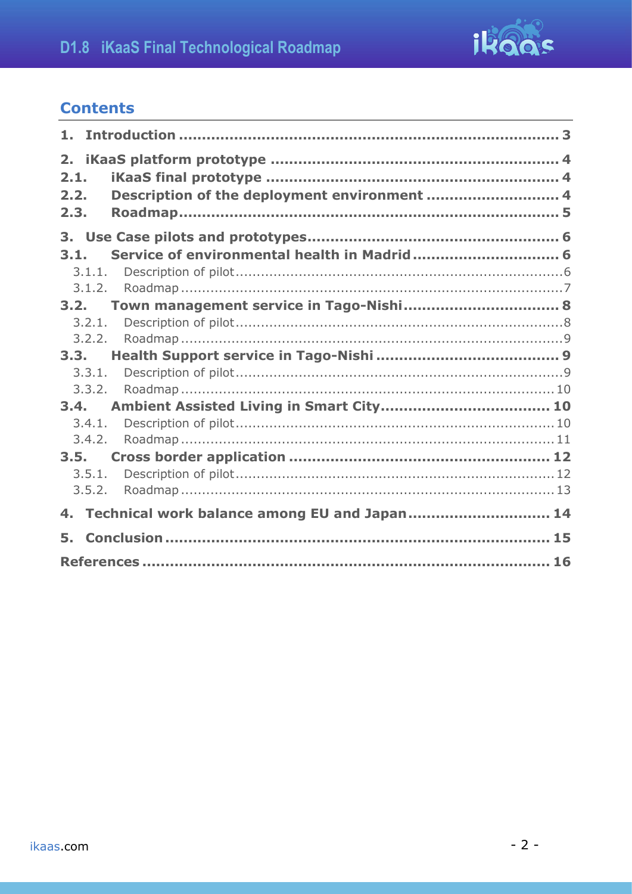

## **Contents**

| 1.                         |                                                 |  |
|----------------------------|-------------------------------------------------|--|
| 2.<br>2.1.<br>2.2.<br>2.3. | Description of the deployment environment  4    |  |
|                            |                                                 |  |
| 3.1.                       |                                                 |  |
| 3.1.1.                     |                                                 |  |
| 3.1.2.                     |                                                 |  |
| 3.2.                       |                                                 |  |
| 3.2.1.                     |                                                 |  |
| 3.2.2.                     |                                                 |  |
| 3.3.                       |                                                 |  |
| 3,3,1.                     |                                                 |  |
| 3.3.2.                     |                                                 |  |
| 3.4.                       |                                                 |  |
| 3.4.1.                     |                                                 |  |
| 3.4.2.                     |                                                 |  |
| 3.5.                       |                                                 |  |
| 3.5.1.                     |                                                 |  |
| 3.5.2.                     |                                                 |  |
|                            | 4. Technical work balance among EU and Japan 14 |  |
| 5.                         |                                                 |  |
|                            |                                                 |  |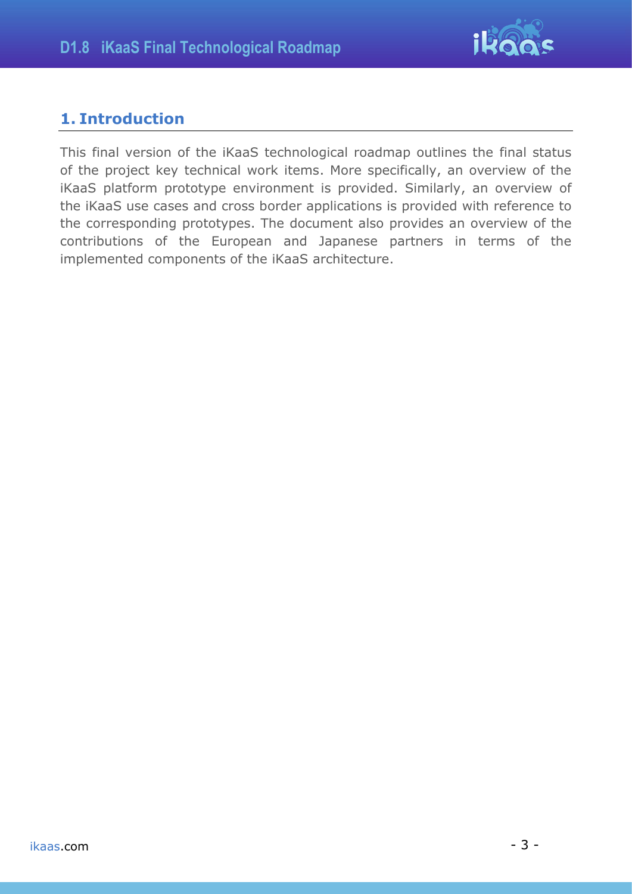

## <span id="page-2-0"></span>**1. Introduction**

This final version of the iKaaS technological roadmap outlines the final status of the project key technical work items. More specifically, an overview of the iKaaS platform prototype environment is provided. Similarly, an overview of the iKaaS use cases and cross border applications is provided with reference to the corresponding prototypes. The document also provides an overview of the contributions of the European and Japanese partners in terms of the implemented components of the iKaaS architecture.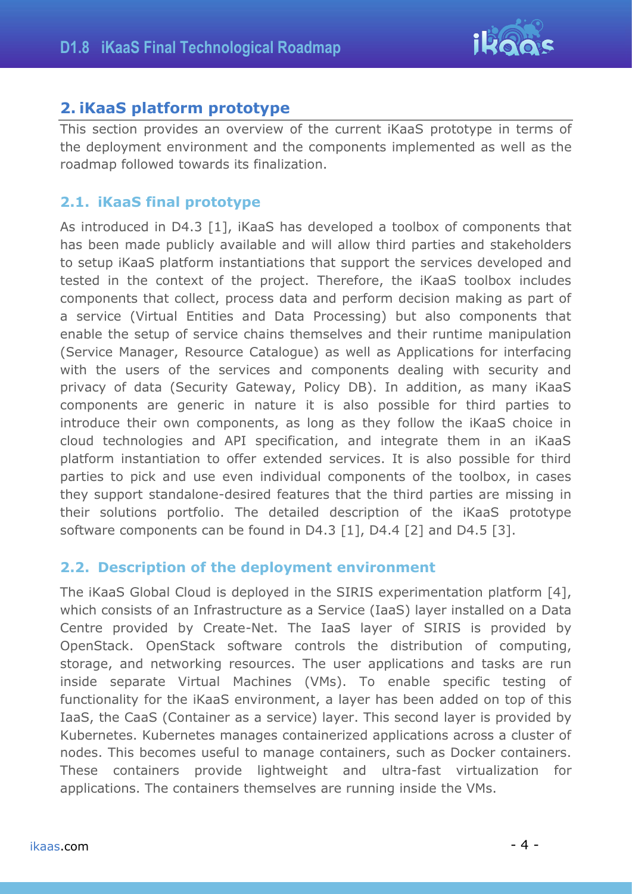

## <span id="page-3-0"></span>**2. iKaaS platform prototype**

This section provides an overview of the current iKaaS prototype in terms of the deployment environment and the components implemented as well as the roadmap followed towards its finalization.

### <span id="page-3-1"></span>**2.1. iKaaS final prototype**

As introduced in D4.3 [\[1\],](#page-15-1) iKaaS has developed a toolbox of components that has been made publicly available and will allow third parties and stakeholders to setup iKaaS platform instantiations that support the services developed and tested in the context of the project. Therefore, the iKaaS toolbox includes components that collect, process data and perform decision making as part of a service (Virtual Entities and Data Processing) but also components that enable the setup of service chains themselves and their runtime manipulation (Service Manager, Resource Catalogue) as well as Applications for interfacing with the users of the services and components dealing with security and privacy of data (Security Gateway, Policy DB). In addition, as many iKaaS components are generic in nature it is also possible for third parties to introduce their own components, as long as they follow the iKaaS choice in cloud technologies and API specification, and integrate them in an iKaaS platform instantiation to offer extended services. It is also possible for third parties to pick and use even individual components of the toolbox, in cases they support standalone-desired features that the third parties are missing in their solutions portfolio. The detailed description of the iKaaS prototype software components can be found in D4.3 [\[1\],](#page-15-1) D4.4 [\[2\]](#page-15-2) and D4.5 [\[3\].](#page-15-3)

### <span id="page-3-2"></span>**2.2. Description of the deployment environment**

The iKaaS Global Cloud is deployed in the SIRIS experimentation platform [\[4\],](#page-15-4) which consists of an Infrastructure as a Service (IaaS) layer installed on a Data Centre provided by Create-Net. The IaaS layer of SIRIS is provided by OpenStack. OpenStack software controls the distribution of computing, storage, and networking resources. The user applications and tasks are run inside separate Virtual Machines (VMs). To enable specific testing of functionality for the iKaaS environment, a layer has been added on top of this IaaS, the CaaS (Container as a service) layer. This second layer is provided by Kubernetes. Kubernetes manages containerized applications across a cluster of nodes. This becomes useful to manage containers, such as Docker containers. These containers provide lightweight and ultra-fast virtualization for applications. The containers themselves are running inside the VMs.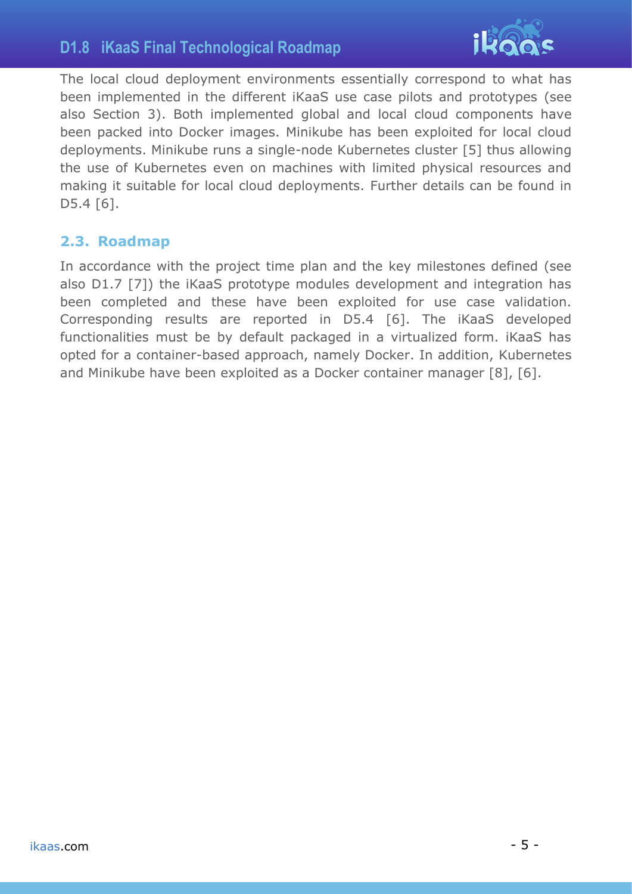## **D1.8 iKaaS Final Technological Roadmap**



The local cloud deployment environments essentially correspond to what has been implemented in the different iKaaS use case pilots and prototypes (see also Section 3). Both implemented global and local cloud components have been packed into Docker images. Minikube has been exploited for local cloud deployments. Minikube runs a single-node Kubernetes cluster [\[5\]](#page-15-5) thus allowing the use of Kubernetes even on machines with limited physical resources and making it suitable for local cloud deployments. Further details can be found in D5.4 [\[6\].](#page-15-6)

### <span id="page-4-0"></span>**2.3. Roadmap**

In accordance with the project time plan and the key milestones defined (see also D1.7 [\[7\]\)](#page-15-7) the iKaaS prototype modules development and integration has been completed and these have been exploited for use case validation. Corresponding results are reported in D5.4 [\[6\].](#page-15-6) The iKaaS developed functionalities must be by default packaged in a virtualized form. iKaaS has opted for a container-based approach, namely Docker. In addition, Kubernetes and Minikube have been exploited as a Docker container manager [\[8\],](#page-15-8) [\[6\].](#page-15-6)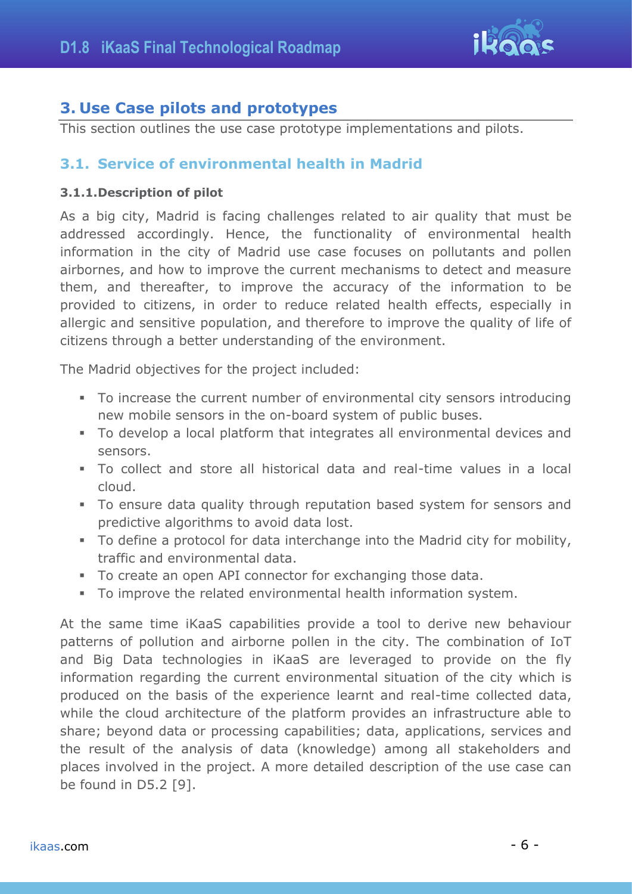

## <span id="page-5-0"></span>**3. Use Case pilots and prototypes**

<span id="page-5-1"></span>This section outlines the use case prototype implementations and pilots.

### **3.1. Service of environmental health in Madrid**

#### <span id="page-5-2"></span>**3.1.1.Description of pilot**

As a big city, Madrid is facing challenges related to air quality that must be addressed accordingly. Hence, the functionality of environmental health information in the city of Madrid use case focuses on pollutants and pollen airbornes, and how to improve the current mechanisms to detect and measure them, and thereafter, to improve the accuracy of the information to be provided to citizens, in order to reduce related health effects, especially in allergic and sensitive population, and therefore to improve the quality of life of citizens through a better understanding of the environment.

The Madrid objectives for the project included:

- To increase the current number of environmental city sensors introducing new mobile sensors in the on-board system of public buses.
- To develop a local platform that integrates all environmental devices and sensors.
- To collect and store all historical data and real-time values in a local cloud.
- To ensure data quality through reputation based system for sensors and predictive algorithms to avoid data lost.
- To define a protocol for data interchange into the Madrid city for mobility, traffic and environmental data.
- To create an open API connector for exchanging those data.
- To improve the related environmental health information system.

At the same time iKaaS capabilities provide a tool to derive new behaviour patterns of pollution and airborne pollen in the city. The combination of IoT and Big Data technologies in iKaaS are leveraged to provide on the fly information regarding the current environmental situation of the city which is produced on the basis of the experience learnt and real-time collected data, while the cloud architecture of the platform provides an infrastructure able to share; beyond data or processing capabilities; data, applications, services and the result of the analysis of data (knowledge) among all stakeholders and places involved in the project. A more detailed description of the use case can be found in D5.2 [\[9\].](#page-15-9)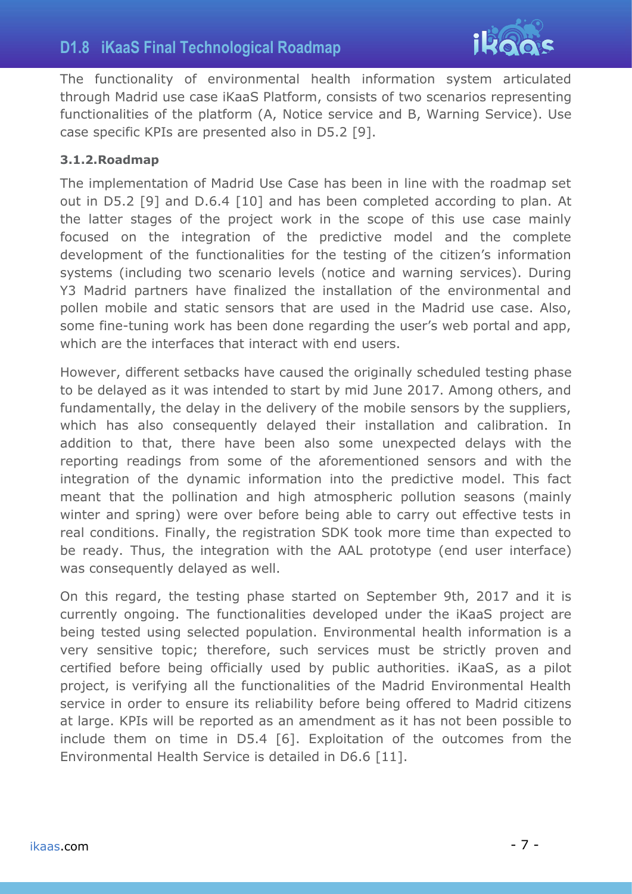## **D1.8 iKaaS Final Technological Roadmap**



The functionality of environmental health information system articulated through Madrid use case iKaaS Platform, consists of two scenarios representing functionalities of the platform (A, Notice service and B, Warning Service). Use case specific KPIs are presented also in D5.2 [\[9\].](#page-15-9)

#### <span id="page-6-0"></span>**3.1.2.Roadmap**

The implementation of Madrid Use Case has been in line with the roadmap set out in D5.2 [\[9\]](#page-15-9) and D.6.4 [\[10\]](#page-15-10) and has been completed according to plan. At the latter stages of the project work in the scope of this use case mainly focused on the integration of the predictive model and the complete development of the functionalities for the testing of the citizen's information systems (including two scenario levels (notice and warning services). During Y3 Madrid partners have finalized the installation of the environmental and pollen mobile and static sensors that are used in the Madrid use case. Also, some fine-tuning work has been done regarding the user's web portal and app, which are the interfaces that interact with end users.

However, different setbacks have caused the originally scheduled testing phase to be delayed as it was intended to start by mid June 2017. Among others, and fundamentally, the delay in the delivery of the mobile sensors by the suppliers, which has also consequently delayed their installation and calibration. In addition to that, there have been also some unexpected delays with the reporting readings from some of the aforementioned sensors and with the integration of the dynamic information into the predictive model. This fact meant that the pollination and high atmospheric pollution seasons (mainly winter and spring) were over before being able to carry out effective tests in real conditions. Finally, the registration SDK took more time than expected to be ready. Thus, the integration with the AAL prototype (end user interface) was consequently delayed as well.

On this regard, the testing phase started on September 9th, 2017 and it is currently ongoing. The functionalities developed under the iKaaS project are being tested using selected population. Environmental health information is a very sensitive topic; therefore, such services must be strictly proven and certified before being officially used by public authorities. iKaaS, as a pilot project, is verifying all the functionalities of the Madrid Environmental Health service in order to ensure its reliability before being offered to Madrid citizens at large. KPIs will be reported as an amendment as it has not been possible to include them on time in D5.4 [\[6\].](#page-15-6) Exploitation of the outcomes from the Environmental Health Service is detailed in D6.6 [\[11\].](#page-15-11)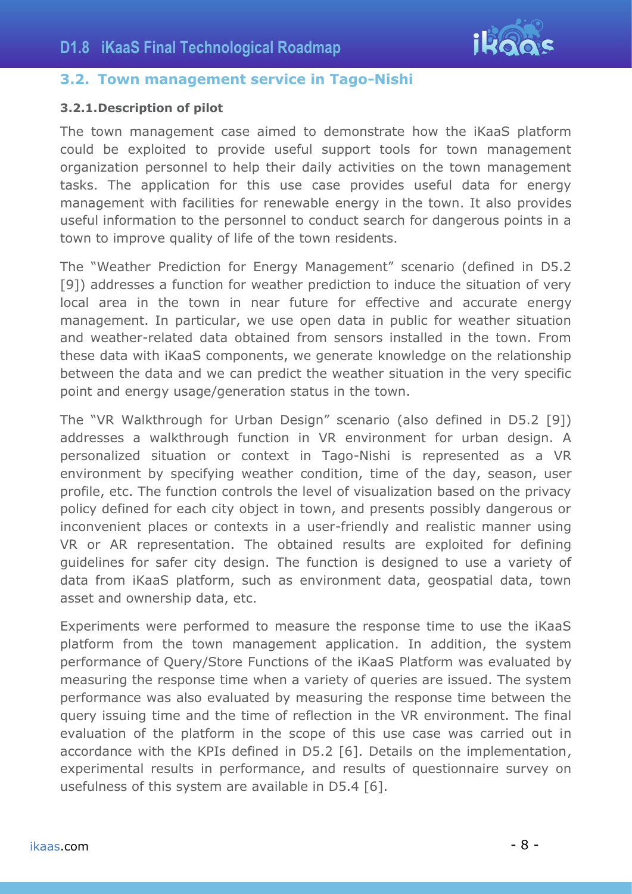

### <span id="page-7-0"></span>**3.2. Town management service in Tago-Nishi**

#### <span id="page-7-1"></span>**3.2.1.Description of pilot**

The town management case aimed to demonstrate how the iKaaS platform could be exploited to provide useful support tools for town management organization personnel to help their daily activities on the town management tasks. The application for this use case provides useful data for energy management with facilities for renewable energy in the town. It also provides useful information to the personnel to conduct search for dangerous points in a town to improve quality of life of the town residents.

The "Weather Prediction for Energy Management" scenario (defined in D5.2 [\[9\]\)](#page-15-9) addresses a function for weather prediction to induce the situation of very local area in the town in near future for effective and accurate energy management. In particular, we use open data in public for weather situation and weather-related data obtained from sensors installed in the town. From these data with iKaaS components, we generate knowledge on the relationship between the data and we can predict the weather situation in the very specific point and energy usage/generation status in the town.

The "VR Walkthrough for Urban Design" scenario (also defined in D5.2 [\[9\]\)](#page-15-9) addresses a walkthrough function in VR environment for urban design. A personalized situation or context in Tago-Nishi is represented as a VR environment by specifying weather condition, time of the day, season, user profile, etc. The function controls the level of visualization based on the privacy policy defined for each city object in town, and presents possibly dangerous or inconvenient places or contexts in a user-friendly and realistic manner using VR or AR representation. The obtained results are exploited for defining guidelines for safer city design. The function is designed to use a variety of data from iKaaS platform, such as environment data, geospatial data, town asset and ownership data, etc.

Experiments were performed to measure the response time to use the iKaaS platform from the town management application. In addition, the system performance of Query/Store Functions of the iKaaS Platform was evaluated by measuring the response time when a variety of queries are issued. The system performance was also evaluated by measuring the response time between the query issuing time and the time of reflection in the VR environment. The final evaluation of the platform in the scope of this use case was carried out in accordance with the KPIs defined in D5.2 [6]. Details on the implementation, experimental results in performance, and results of questionnaire survey on usefulness of this system are available in D5.4 [\[6\].](#page-15-6)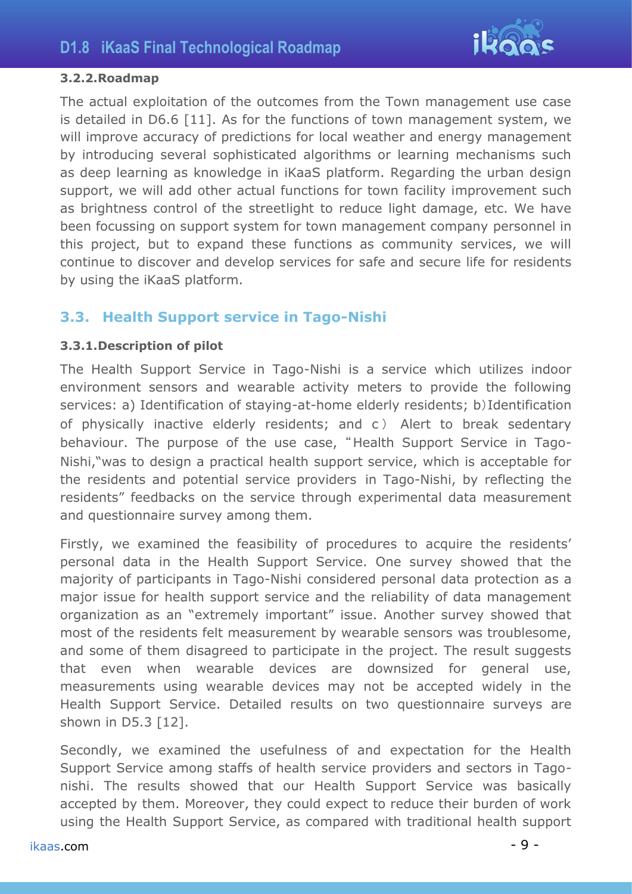

#### <span id="page-8-0"></span>**3.2.2.Roadmap**

The actual exploitation of the outcomes from the Town management use case is detailed in D6.6 [11]. As for the functions of town management system, we will improve accuracy of predictions for local weather and energy management by introducing several sophisticated algorithms or learning mechanisms such as deep learning as knowledge in iKaaS platform. Regarding the urban design support, we will add other actual functions for town facility improvement such as brightness control of the streetlight to reduce light damage, etc. We have been focussing on support system for town management company personnel in this project, but to expand these functions as community services, we will continue to discover and develop services for safe and secure life for residents by using the iKaaS platform.

### <span id="page-8-1"></span>**3.3. Health Support service in Tago-Nishi**

### <span id="page-8-2"></span>**3.3.1.Description of pilot**

The Health Support Service in Tago-Nishi is a service which utilizes indoor environment sensors and wearable activity meters to provide the following services: a) Identification of staying-at-home elderly residents; b)Identification of physically inactive elderly residents; and c ) Alert to break sedentary behaviour. The purpose of the use case, "Health Support Service in Tago-Nishi,"was to design a practical health support service, which is acceptable for the residents and potential service providers in Tago-Nishi, by reflecting the residents" feedbacks on the service through experimental data measurement and questionnaire survey among them.

Firstly, we examined the feasibility of procedures to acquire the residents' personal data in the Health Support Service. One survey showed that the majority of participants in Tago-Nishi considered personal data protection as a major issue for health support service and the reliability of data management organization as an "extremely important" issue. Another survey showed that most of the residents felt measurement by wearable sensors was troublesome, and some of them disagreed to participate in the project. The result suggests that even when wearable devices are downsized for general use, measurements using wearable devices may not be accepted widely in the Health Support Service. Detailed results on two questionnaire surveys are shown in D5.3 [\[12\].](#page-15-12)

Secondly, we examined the usefulness of and expectation for the Health Support Service among staffs of health service providers and sectors in Tagonishi. The results showed that our Health Support Service was basically accepted by them. Moreover, they could expect to reduce their burden of work using the Health Support Service, as compared with traditional health support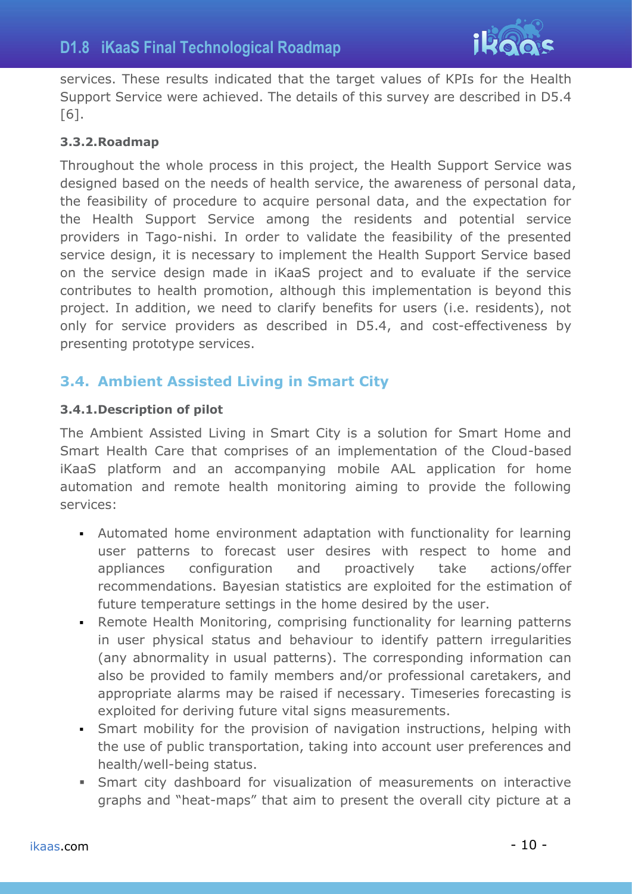

services. These results indicated that the target values of KPIs for the Health Support Service were achieved. The details of this survey are described in D5.4 [\[6\].](#page-15-6)

### <span id="page-9-0"></span>**3.3.2.Roadmap**

Throughout the whole process in this project, the Health Support Service was designed based on the needs of health service, the awareness of personal data, the feasibility of procedure to acquire personal data, and the expectation for the Health Support Service among the residents and potential service providers in Tago-nishi. In order to validate the feasibility of the presented service design, it is necessary to implement the Health Support Service based on the service design made in iKaaS project and to evaluate if the service contributes to health promotion, although this implementation is beyond this project. In addition, we need to clarify benefits for users (i.e. residents), not only for service providers as described in D5.4, and cost-effectiveness by presenting prototype services.

## <span id="page-9-1"></span>**3.4. Ambient Assisted Living in Smart City**

### <span id="page-9-2"></span>**3.4.1.Description of pilot**

The Ambient Assisted Living in Smart City is a solution for Smart Home and Smart Health Care that comprises of an implementation of the Cloud-based iKaaS platform and an accompanying mobile AAL application for home automation and remote health monitoring aiming to provide the following services:

- Automated home environment adaptation with functionality for learning user patterns to forecast user desires with respect to home and appliances configuration and proactively take actions/offer recommendations. Bayesian statistics are exploited for the estimation of future temperature settings in the home desired by the user.
- Remote Health Monitoring, comprising functionality for learning patterns in user physical status and behaviour to identify pattern irregularities (any abnormality in usual patterns). The corresponding information can also be provided to family members and/or professional caretakers, and appropriate alarms may be raised if necessary. Timeseries forecasting is exploited for deriving future vital signs measurements.
- **•** Smart mobility for the provision of navigation instructions, helping with the use of public transportation, taking into account user preferences and health/well-being status.
- **EXECT** Smart city dashboard for visualization of measurements on interactive graphs and "heat-maps" that aim to present the overall city picture at a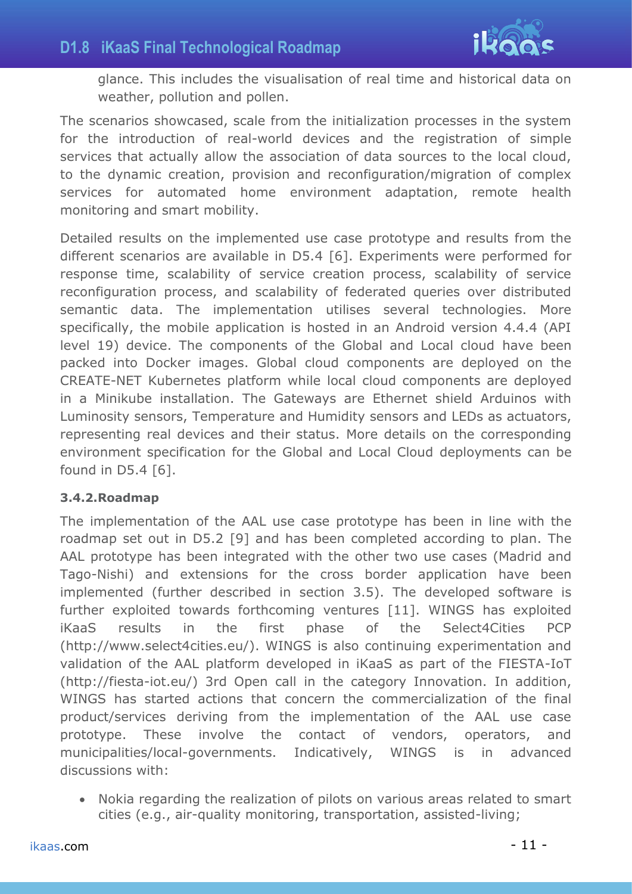

glance. This includes the visualisation of real time and historical data on weather, pollution and pollen.

The scenarios showcased, scale from the initialization processes in the system for the introduction of real-world devices and the registration of simple services that actually allow the association of data sources to the local cloud, to the dynamic creation, provision and reconfiguration/migration of complex services for automated home environment adaptation, remote health monitoring and smart mobility.

Detailed results on the implemented use case prototype and results from the different scenarios are available in D5.4 [\[6\].](#page-15-6) Experiments were performed for response time, scalability of service creation process, scalability of service reconfiguration process, and scalability of federated queries over distributed semantic data. The implementation utilises several technologies. More specifically, the mobile application is hosted in an Android version 4.4.4 (API level 19) device. The components of the Global and Local cloud have been packed into Docker images. Global cloud components are deployed on the CREATE-NET Kubernetes platform while local cloud components are deployed in a Minikube installation. The Gateways are Ethernet shield Arduinos with Luminosity sensors, Temperature and Humidity sensors and LEDs as actuators, representing real devices and their status. More details on the corresponding environment specification for the Global and Local Cloud deployments can be found in D5.4 [\[6\].](#page-15-6)

### <span id="page-10-0"></span>**3.4.2.Roadmap**

The implementation of the AAL use case prototype has been in line with the roadmap set out in D5.2 [\[9\]](#page-15-9) and has been completed according to plan. The AAL prototype has been integrated with the other two use cases (Madrid and Tago-Nishi) and extensions for the cross border application have been implemented (further described in section [3.5\)](#page-11-0). The developed software is further exploited towards forthcoming ventures [\[11\].](#page-15-11) WINGS has exploited iKaaS results in the first phase of the Select4Cities PCP (http://www.select4cities.eu/). WINGS is also continuing experimentation and validation of the AAL platform developed in iKaaS as part of the FIESTA-IoT (http://fiesta-iot.eu/) 3rd Open call in the category Innovation. In addition, WINGS has started actions that concern the commercialization of the final product/services deriving from the implementation of the AAL use case prototype. These involve the contact of vendors, operators, and municipalities/local-governments. Indicatively, WINGS is in advanced discussions with:

• Nokia regarding the realization of pilots on various areas related to smart cities (e.g., air-quality monitoring, transportation, assisted-living;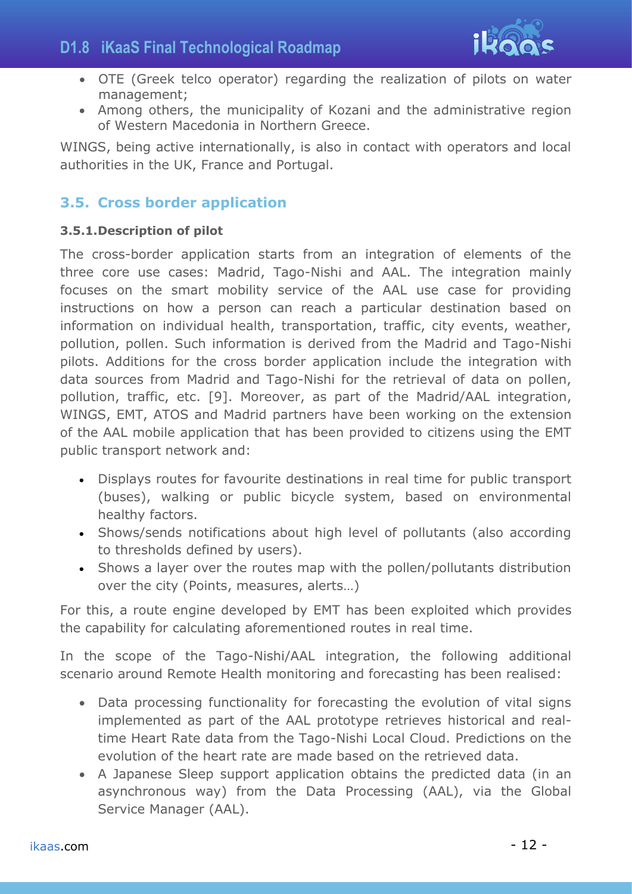

- OTE (Greek telco operator) regarding the realization of pilots on water management;
- Among others, the municipality of Kozani and the administrative region of Western Macedonia in Northern Greece.

WINGS, being active internationally, is also in contact with operators and local authorities in the UK, France and Portugal.

## <span id="page-11-0"></span>**3.5. Cross border application**

### <span id="page-11-1"></span>**3.5.1.Description of pilot**

The cross-border application starts from an integration of elements of the three core use cases: Madrid, Tago-Nishi and AAL. The integration mainly focuses on the smart mobility service of the AAL use case for providing instructions on how a person can reach a particular destination based on information on individual health, transportation, traffic, city events, weather, pollution, pollen. Such information is derived from the Madrid and Tago-Nishi pilots. Additions for the cross border application include the integration with data sources from Madrid and Tago-Nishi for the retrieval of data on pollen, pollution, traffic, etc. [\[9\].](#page-15-9) Moreover, as part of the Madrid/AAL integration, WINGS, EMT, ATOS and Madrid partners have been working on the extension of the AAL mobile application that has been provided to citizens using the EMT public transport network and:

- Displays routes for favourite destinations in real time for public transport (buses), walking or public bicycle system, based on environmental healthy factors.
- Shows/sends notifications about high level of pollutants (also according to thresholds defined by users).
- Shows a layer over the routes map with the pollen/pollutants distribution over the city (Points, measures, alerts…)

For this, a route engine developed by EMT has been exploited which provides the capability for calculating aforementioned routes in real time.

In the scope of the Tago-Nishi/AAL integration, the following additional scenario around Remote Health monitoring and forecasting has been realised:

- Data processing functionality for forecasting the evolution of vital signs implemented as part of the AAL prototype retrieves historical and realtime Heart Rate data from the Tago-Nishi Local Cloud. Predictions on the evolution of the heart rate are made based on the retrieved data.
- A Japanese Sleep support application obtains the predicted data (in an asynchronous way) from the Data Processing (AAL), via the Global Service Manager (AAL).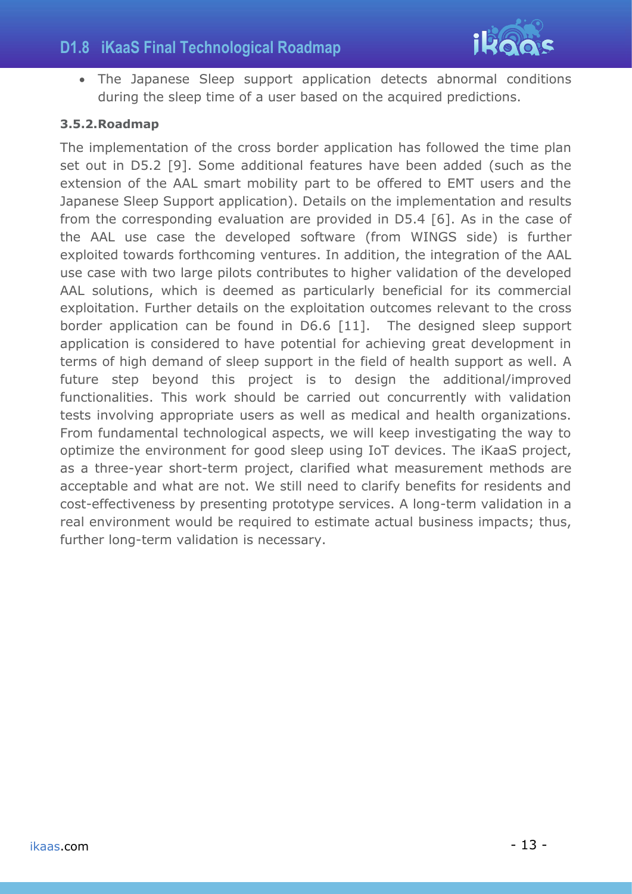

• The Japanese Sleep support application detects abnormal conditions during the sleep time of a user based on the acquired predictions.

### <span id="page-12-0"></span>**3.5.2.Roadmap**

The implementation of the cross border application has followed the time plan set out in D5.2 [\[9\].](#page-15-9) Some additional features have been added (such as the extension of the AAL smart mobility part to be offered to EMT users and the Japanese Sleep Support application). Details on the implementation and results from the corresponding evaluation are provided in D5.4 [\[6\].](#page-15-6) As in the case of the AAL use case the developed software (from WINGS side) is further exploited towards forthcoming ventures. In addition, the integration of the AAL use case with two large pilots contributes to higher validation of the developed AAL solutions, which is deemed as particularly beneficial for its commercial exploitation. Further details on the exploitation outcomes relevant to the cross border application can be found in D6.6 [\[11\].](#page-15-11) The designed sleep support application is considered to have potential for achieving great development in terms of high demand of sleep support in the field of health support as well. A future step beyond this project is to design the additional/improved functionalities. This work should be carried out concurrently with validation tests involving appropriate users as well as medical and health organizations. From fundamental technological aspects, we will keep investigating the way to optimize the environment for good sleep using IoT devices. The iKaaS project, as a three-year short-term project, clarified what measurement methods are acceptable and what are not. We still need to clarify benefits for residents and cost-effectiveness by presenting prototype services. A long-term validation in a real environment would be required to estimate actual business impacts; thus, further long-term validation is necessary.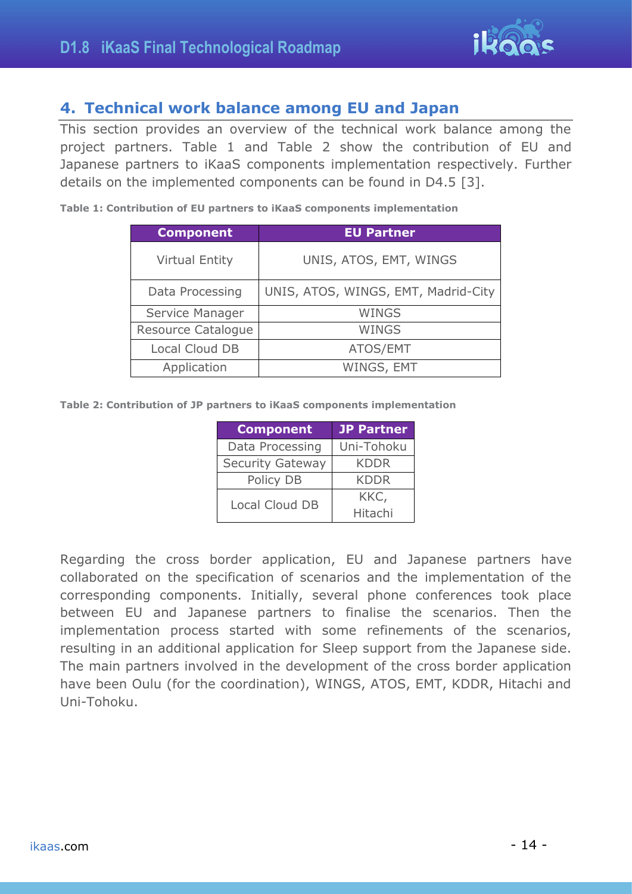

## <span id="page-13-0"></span>**4. Technical work balance among EU and Japan**

This section provides an overview of the technical work balance among the project partners. [Table 1](#page-13-1) and [Table 2](#page-13-2) show the contribution of EU and Japanese partners to iKaaS components implementation respectively. Further details on the implemented components can be found in D4.5 [\[3\].](#page-15-3)

<span id="page-13-1"></span>**Table 1: Contribution of EU partners to iKaaS components implementation**

| <b>Component</b>      | <b>EU Partner</b>                   |
|-----------------------|-------------------------------------|
| <b>Virtual Entity</b> | UNIS, ATOS, EMT, WINGS              |
| Data Processing       | UNIS, ATOS, WINGS, EMT, Madrid-City |
| Service Manager       | <b>WINGS</b>                        |
| Resource Catalogue    | <b>WINGS</b>                        |
| Local Cloud DB        | ATOS/EMT                            |
| Application           | WINGS, EMT                          |

<span id="page-13-2"></span>**Table 2: Contribution of JP partners to iKaaS components implementation**

| <b>Component</b>        | <b>JP Partner</b> |
|-------------------------|-------------------|
| Data Processing         | Uni-Tohoku        |
| <b>Security Gateway</b> | <b>KDDR</b>       |
| Policy DB               | <b>KDDR</b>       |
| Local Cloud DB          | KKC,              |
|                         | Hitachi           |

Regarding the cross border application, EU and Japanese partners have collaborated on the specification of scenarios and the implementation of the corresponding components. Initially, several phone conferences took place between EU and Japanese partners to finalise the scenarios. Then the implementation process started with some refinements of the scenarios, resulting in an additional application for Sleep support from the Japanese side. The main partners involved in the development of the cross border application have been Oulu (for the coordination), WINGS, ATOS, EMT, KDDR, Hitachi and Uni-Tohoku.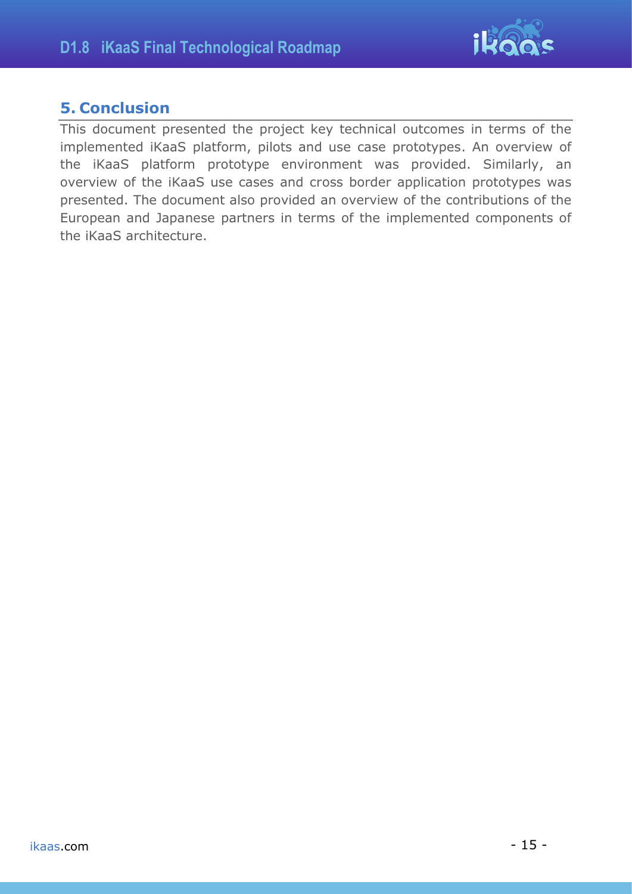

## <span id="page-14-0"></span>**5. Conclusion**

This document presented the project key technical outcomes in terms of the implemented iKaaS platform, pilots and use case prototypes. An overview of the iKaaS platform prototype environment was provided. Similarly, an overview of the iKaaS use cases and cross border application prototypes was presented. The document also provided an overview of the contributions of the European and Japanese partners in terms of the implemented components of the iKaaS architecture.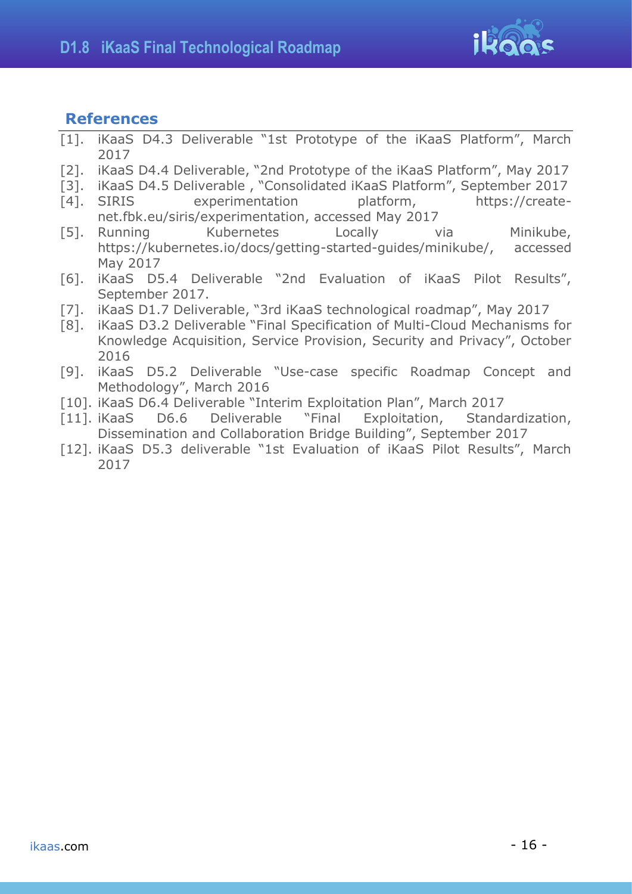

## <span id="page-15-0"></span>**References**

- <span id="page-15-1"></span>[1]. iKaaS D4.3 Deliverable "1st Prototype of the iKaaS Platform", March 2017
- <span id="page-15-2"></span>[2]. iKaaS D4.4 Deliverable, "2nd Prototype of the iKaaS Platform", May 2017
- <span id="page-15-3"></span>[3]. iKaaS D4.5 Deliverable , "Consolidated iKaaS Platform", September 2017
- <span id="page-15-4"></span>[4]. SIRIS experimentation platform, https://createnet.fbk.eu/siris/experimentation, accessed May 2017
- <span id="page-15-5"></span>[5]. Running Kubernetes Locally via Minikube, https://kubernetes.io/docs/getting-started-guides/minikube/, accessed May 2017
- <span id="page-15-6"></span>[6]. iKaaS D5.4 Deliverable "2nd Evaluation of iKaaS Pilot Results", September 2017.
- <span id="page-15-7"></span>[7]. iKaaS D1.7 Deliverable, "3rd iKaaS technological roadmap", May 2017
- <span id="page-15-8"></span>[8]. iKaaS D3.2 Deliverable "Final Specification of Multi-Cloud Mechanisms for Knowledge Acquisition, Service Provision, Security and Privacy", October 2016
- <span id="page-15-9"></span>[9]. iKaaS D5.2 Deliverable "Use-case specific Roadmap Concept and Methodology", March 2016
- <span id="page-15-10"></span>[10]. iKaaS D6.4 Deliverable "Interim Exploitation Plan", March 2017
- <span id="page-15-11"></span>[11]. iKaaS D6.6 Deliverable "Final Exploitation, Standardization, Dissemination and Collaboration Bridge Building", September 2017
- <span id="page-15-12"></span>[12]. iKaaS D5.3 deliverable "1st Evaluation of iKaaS Pilot Results", March 2017